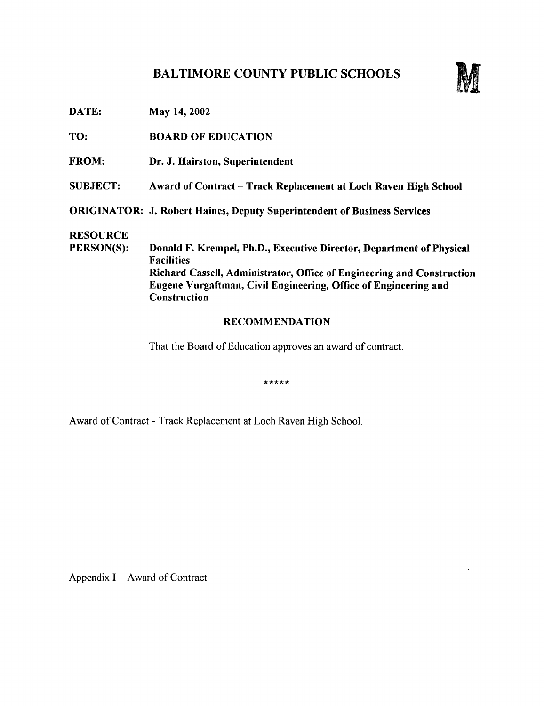## BALTIMORE COUNTY PUBLIC SCHOOLS



DATE: May 14, 2002

TO: BOARD OF EDUCATION

- FROM: Dr. J. Hairston, Superintendent
- SUBJECT: Award of Contract Track Replacement at Loch Raven High School

ORIGINATOR: J. Robert Haines, Deputy Superintendent of Business Services

# **RESOURCE**<br>PERSON(S):

Donald F. Krempel, Ph.D., Executive Director, Department of Physical Facilities Richard Cassell, Administrator, Office of Engineering and Construction Eugene Vurgaftman, Civil Engineering, Office of Engineering and **Construction** 

#### RECOMMENDATION

That the Board of Education approves an award of contract.

\*\*\*\*\*

Award of Contract - Track Replacement at Loch Raven High School.

Appendix  $I -$  Award of Contract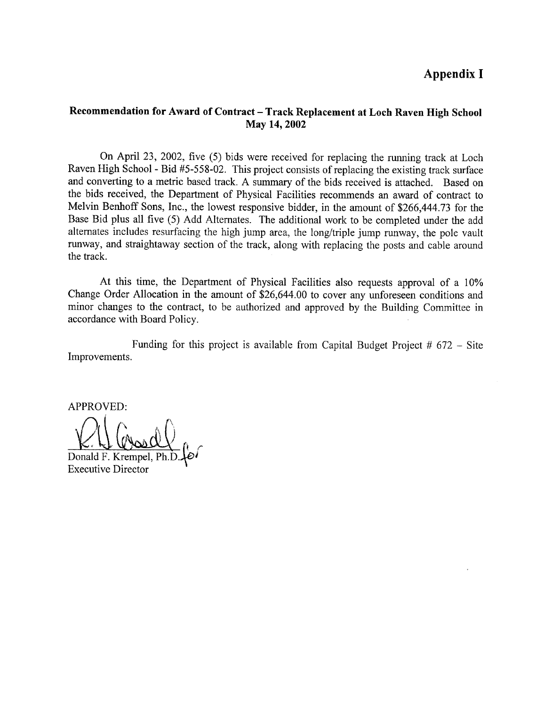### Appendix <sup>I</sup>

#### Recommendation for Award of Contract – Track Replacement at Loch Raven High School May 14, 2002

On April 23, 2002, five (5) bids were received for replacing the running track at Loch Raven High School - Bid #5-558-02 . This project consists of replacing the existing track surface and converting to a metric based track. A summary of the bids received is attached. Based on the bids received, the Department of Physical Facilities recommends an award of contract to Melvin Benhoff Sons, Inc., the lowest responsive bidder, in the amount of \$266,444 .73 for the Base Bid plus all five (5) Add Alternates. The additional work to be completed under the add alternates includes resurfacing the high jump area, the long/triple jump runway, the pole vault runway, and straightaway section of the track, along with replacing the posts and cable around the track.

At this time, the Department of Physical Facilities also requests approval of <sup>a</sup> 10% Change Order Allocation in the amount of \$26,644.00 to cover any unforeseen conditions and minor changes to the contract, to be authorized and approved by the Building Committee in accordance with Board Policy.

Improvements . Funding for this project is available from Capital Budget Project  $# 672 -$  Site

APPROVED:

Donald F. Krempel, Executive Director